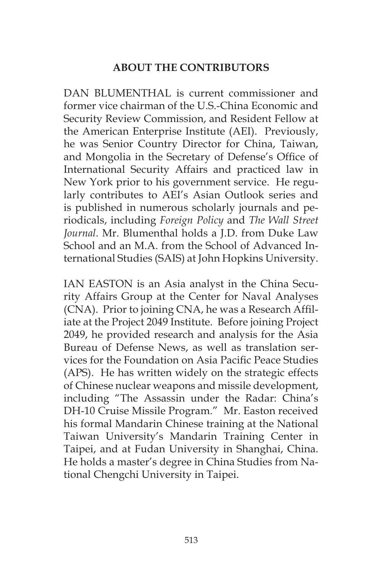## **ABOUT THE CONTRIBUTORS**

DAN BLUMENTHAL is current commissioner and former vice chairman of the U.S.-China Economic and Security Review Commission, and Resident Fellow at the American Enterprise Institute (AEI). Previously, he was Senior Country Director for China, Taiwan, and Mongolia in the Secretary of Defense's Office of International Security Affairs and practiced law in New York prior to his government service. He regularly contributes to AEI's Asian Outlook series and is published in numerous scholarly journals and periodicals, including *Foreign Policy* and *The Wall Street Journal*. Mr. Blumenthal holds a J.D. from Duke Law School and an M A from the School of Advanced International Studies (SAIS) at John Hopkins University.

IAN EASTON is an Asia analyst in the China Security Affairs Group at the Center for Naval Analyses (CNA). Prior to joining CNA, he was a Research Affiliate at the Project 2049 Institute. Before joining Project 2049, he provided research and analysis for the Asia Bureau of Defense News, as well as translation services for the Foundation on Asia Pacific Peace Studies (APS). He has written widely on the strategic effects of Chinese nuclear weapons and missile development, including "The Assassin under the Radar: China's DH-10 Cruise Missile Program." Mr. Easton received his formal Mandarin Chinese training at the National Taiwan University's Mandarin Training Center in Taipei, and at Fudan University in Shanghai, China. He holds a master's degree in China Studies from National Chengchi University in Taipei.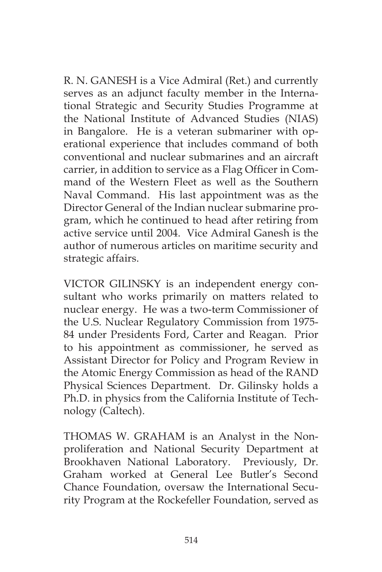R. N. GANESH is a Vice Admiral (Ret.) and currently serves as an adjunct faculty member in the International Strategic and Security Studies Programme at the National Institute of Advanced Studies (NIAS) in Bangalore. He is a veteran submariner with operational experience that includes command of both conventional and nuclear submarines and an aircraft carrier, in addition to service as a Flag Officer in Command of the Western Fleet as well as the Southern Naval Command. His last appointment was as the Director General of the Indian nuclear submarine program, which he continued to head after retiring from active service until 2004. Vice Admiral Ganesh is the author of numerous articles on maritime security and strategic affairs.

VICTOR GILINSKY is an independent energy consultant who works primarily on matters related to nuclear energy. He was a two-term Commissioner of the U.S. Nuclear Regulatory Commission from 1975- 84 under Presidents Ford, Carter and Reagan. Prior to his appointment as commissioner, he served as Assistant Director for Policy and Program Review in the Atomic Energy Commission as head of the RAND Physical Sciences Department. Dr. Gilinsky holds a Ph.D. in physics from the California Institute of Technology (Caltech).

THOMAS W. GRAHAM is an Analyst in the Nonproliferation and National Security Department at Brookhaven National Laboratory. Previously, Dr. Graham worked at General Lee Butler's Second Chance Foundation, oversaw the International Security Program at the Rockefeller Foundation, served as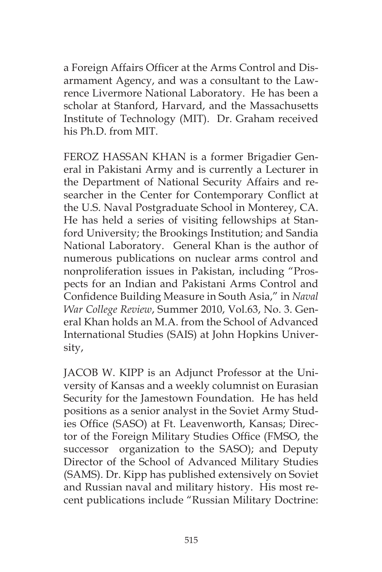a Foreign Affairs Officer at the Arms Control and Disarmament Agency, and was a consultant to the Lawrence Livermore National Laboratory. He has been a scholar at Stanford, Harvard, and the Massachusetts Institute of Technology (MIT). Dr. Graham received his Ph.D. from MIT.

FEROZ HASSAN KHAN is a former Brigadier General in Pakistani Army and is currently a Lecturer in the Department of National Security Affairs and researcher in the Center for Contemporary Conflict at the U.S. Naval Postgraduate School in Monterey, CA. He has held a series of visiting fellowships at Stanford University; the Brookings Institution; and Sandia National Laboratory. General Khan is the author of numerous publications on nuclear arms control and nonproliferation issues in Pakistan, including "Prospects for an Indian and Pakistani Arms Control and Confidence Building Measure in South Asia," in *Naval War College Review*, Summer 2010, Vol.63, No. 3. General Khan holds an M.A. from the School of Advanced International Studies (SAIS) at John Hopkins University,

JACOB W. KIPP is an Adjunct Professor at the University of Kansas and a weekly columnist on Eurasian Security for the Jamestown Foundation. He has held positions as a senior analyst in the Soviet Army Studies Office (SASO) at Ft. Leavenworth, Kansas; Director of the Foreign Military Studies Office (FMSO, the successor organization to the SASO); and Deputy Director of the School of Advanced Military Studies (SAMS). Dr. Kipp has published extensively on Soviet and Russian naval and military history. His most recent publications include "Russian Military Doctrine: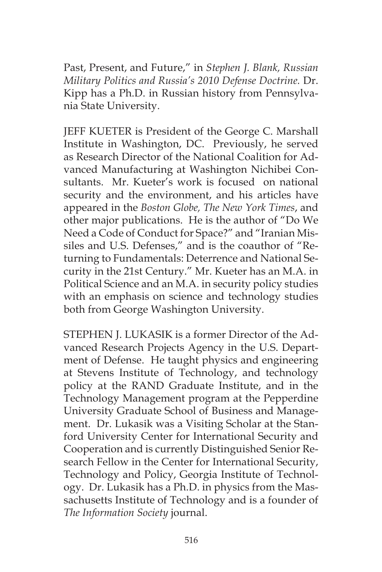Past, Present, and Future," in *Stephen J. Blank, Russian Military Politics and Russia's 2010 Defense Doctrine.* Dr. Kipp has a Ph.D. in Russian history from Pennsylvania State University.

JEFF KUETER is President of the George C. Marshall Institute in Washington, DC. Previously, he served as Research Director of the National Coalition for Advanced Manufacturing at Washington Nichibei Consultants. Mr. Kueter's work is focused on national security and the environment, and his articles have appeared in the *Boston Globe, The New York Times*, and other major publications. He is the author of "Do We Need a Code of Conduct for Space?" and "Iranian Missiles and U.S. Defenses," and is the coauthor of "Returning to Fundamentals: Deterrence and National Security in the 21st Century." Mr. Kueter has an M.A. in Political Science and an M.A. in security policy studies with an emphasis on science and technology studies both from George Washington University.

STEPHEN J. LUKASIK is a former Director of the Advanced Research Projects Agency in the U.S. Department of Defense. He taught physics and engineering at Stevens Institute of Technology, and technology policy at the RAND Graduate Institute, and in the Technology Management program at the Pepperdine University Graduate School of Business and Management. Dr. Lukasik was a Visiting Scholar at the Stanford University Center for International Security and Cooperation and is currently Distinguished Senior Research Fellow in the Center for International Security, Technology and Policy, Georgia Institute of Technology. Dr. Lukasik has a Ph.D. in physics from the Massachusetts Institute of Technology and is a founder of *The Information Society* journal.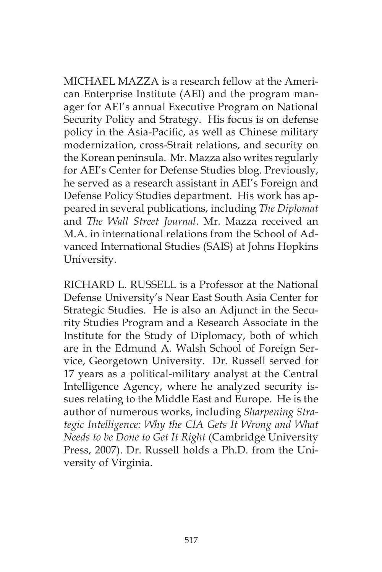MICHAEL MAZZA is a research fellow at the American Enterprise Institute (AEI) and the program manager for AEI's annual Executive Program on National Security Policy and Strategy. His focus is on defense policy in the Asia-Pacific, as well as Chinese military modernization, cross-Strait relations, and security on the Korean peninsula. Mr. Mazza also writes regularly for AEI's Center for Defense Studies blog. Previously, he served as a research assistant in AEI's Foreign and Defense Policy Studies department. His work has appeared in several publications, including *The Diplomat* and *The Wall Street Journal*. Mr. Mazza received an M.A. in international relations from the School of Advanced International Studies (SAIS) at Johns Hopkins University.

RICHARD L. RUSSELL is a Professor at the National Defense University's Near East South Asia Center for Strategic Studies. He is also an Adjunct in the Security Studies Program and a Research Associate in the Institute for the Study of Diplomacy, both of which are in the Edmund A. Walsh School of Foreign Service, Georgetown University. Dr. Russell served for 17 years as a political-military analyst at the Central Intelligence Agency, where he analyzed security issues relating to the Middle East and Europe. He is the author of numerous works, including *Sharpening Strategic Intelligence: Why the CIA Gets It Wrong and What Needs to be Done to Get It Right* (Cambridge University Press, 2007). Dr. Russell holds a Ph.D. from the University of Virginia.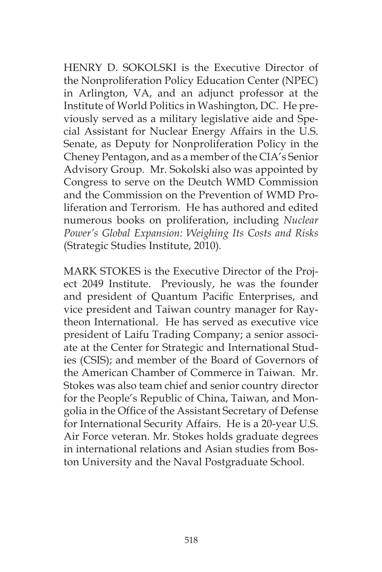HENRY D. SOKOLSKI is the Executive Director of the Nonproliferation Policy Education Center (NPEC) in Arlington, VA, and an adjunct professor at the Institute of World Politics in Washington, DC. He previously served as a military legislative aide and Special Assistant for Nuclear Energy Affairs in the U.S. Senate, as Deputy for Nonproliferation Policy in the Cheney Pentagon, and as a member of the CIA's Senior Advisory Group. Mr. Sokolski also was appointed by Congress to serve on the Deutch WMD Commission and the Commission on the Prevention of WMD Proliferation and Terrorism. He has authored and edited numerous books on proliferation, including *Nuclear Power's Global Expansion: Weighing Its Costs and Risks*  (Strategic Studies Institute, 2010)*.*

MARK STOKES is the Executive Director of the Project 2049 Institute. Previously, he was the founder and president of Quantum Pacific Enterprises, and vice president and Taiwan country manager for Raytheon International. He has served as executive vice president of Laifu Trading Company; a senior associate at the Center for Strategic and International Studies (CSIS); and member of the Board of Governors of the American Chamber of Commerce in Taiwan. Mr. Stokes was also team chief and senior country director for the People's Republic of China, Taiwan, and Mongolia in the Office of the Assistant Secretary of Defense for International Security Affairs. He is a 20-year U.S. Air Force veteran. Mr. Stokes holds graduate degrees in international relations and Asian studies from Boston University and the Naval Postgraduate School.